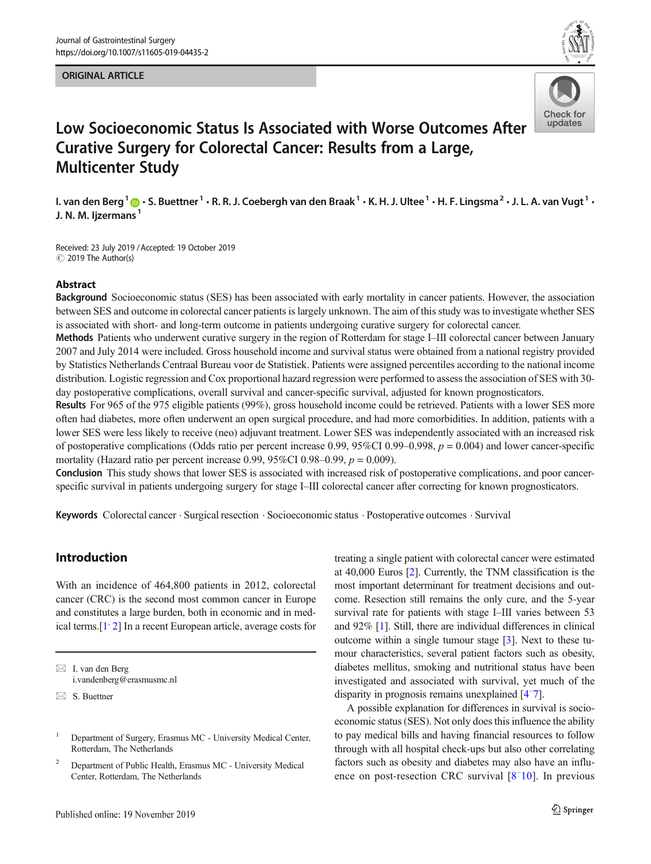#### ORIGINAL ARTICLE





# Low Socioeconomic Status Is Associated with Worse Outcomes After Curative Surgery for Colorectal Cancer: Results from a Large, Multicenter Study

I. van den Berg<sup>1</sup>  $\bigcirc$  · S. Buettner<sup>1</sup> · R. R. J. Coebergh van den Braak<sup>1</sup> · K. H. J. Ultee<sup>1</sup> · H. F. Lingsma<sup>2</sup> · J. L. A. van Vugt<sup>1</sup> · J. N. M. lizermans<sup>1</sup>

Received: 23 July 2019 /Accepted: 19 October 2019  $\odot$  2019 The Author(s)

## Abstract

Background Socioeconomic status (SES) has been associated with early mortality in cancer patients. However, the association between SES and outcome in colorectal cancer patients is largely unknown. The aim of this study was to investigate whether SES is associated with short- and long-term outcome in patients undergoing curative surgery for colorectal cancer.

Methods Patients who underwent curative surgery in the region of Rotterdam for stage I–III colorectal cancer between January 2007 and July 2014 were included. Gross household income and survival status were obtained from a national registry provided by Statistics Netherlands Centraal Bureau voor de Statistiek. Patients were assigned percentiles according to the national income distribution. Logistic regression and Cox proportional hazard regression were performed to assess the association of SES with 30 day postoperative complications, overall survival and cancer-specific survival, adjusted for known prognosticators.

Results For 965 of the 975 eligible patients (99%), gross household income could be retrieved. Patients with a lower SES more often had diabetes, more often underwent an open surgical procedure, and had more comorbidities. In addition, patients with a lower SES were less likely to receive (neo) adjuvant treatment. Lower SES was independently associated with an increased risk of postoperative complications (Odds ratio per percent increase 0.99, 95%CI 0.99–0.998,  $p = 0.004$ ) and lower cancer-specific mortality (Hazard ratio per percent increase 0.99, 95%CI 0.98–0.99,  $p = 0.009$ ).

Conclusion This study shows that lower SES is associated with increased risk of postoperative complications, and poor cancerspecific survival in patients undergoing surgery for stage I–III colorectal cancer after correcting for known prognosticators.

Keywords Colorectal cancer . Surgical resection . Socioeconomic status . Postoperative outcomes . Survival

# Introduction

With an incidence of 464,800 patients in 2012, colorectal cancer (CRC) is the second most common cancer in Europe and constitutes a large burden, both in economic and in med-ical terms.<sup>[\[1,](#page-7-0) [2\]](#page-7-0)</sup> In a recent European article, average costs for

treating a single patient with colorectal cancer were estimated at 40,000 Euros [[2\]](#page-7-0). Currently, the TNM classification is the most important determinant for treatment decisions and outcome. Resection still remains the only cure, and the 5-year survival rate for patients with stage I–III varies between 53 and 92% [\[1\]](#page-7-0). Still, there are individual differences in clinical outcome within a single tumour stage [\[3](#page-7-0)]. Next to these tumour characteristics, several patient factors such as obesity, diabetes mellitus, smoking and nutritional status have been investigated and associated with survival, yet much of the disparity in prognosis remains unexplained [\[4](#page-7-0)[–](#page-7-0) [7\]](#page-7-0).

A possible explanation for differences in survival is socioeconomic status (SES). Not only does this influence the ability to pay medical bills and having financial resources to follow through with all hospital check-ups but also other correlating factors such as obesity and diabetes may also have an influence on post-resection CRC survival [[8](#page-7-0)[–](#page-7-0) [10](#page-7-0)]. In previous

 $\boxtimes$  I. van den Berg [i.vandenberg@erasmusmc.nl](mailto:i.vandenberg@erasmusmc.nl)

 $\boxtimes$  S. Buettner

<sup>&</sup>lt;sup>1</sup> Department of Surgery, Erasmus MC - University Medical Center, Rotterdam, The Netherlands

<sup>&</sup>lt;sup>2</sup> Department of Public Health, Erasmus MC - University Medical Center, Rotterdam, The Netherlands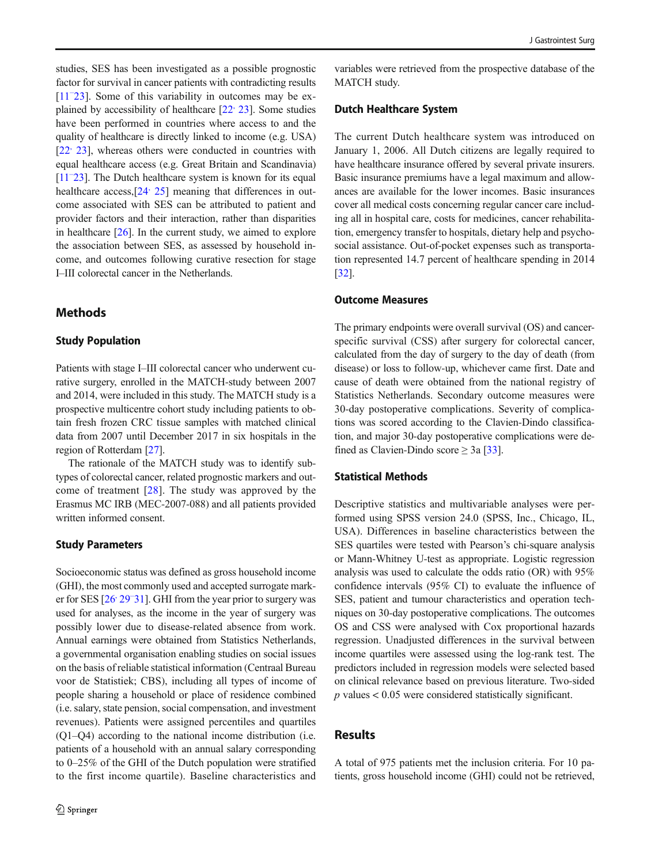studies, SES has been investigated as a possible prognostic factor for survival in cancer patients with contradicting results [\[11](#page-7-0)[–](#page-7-0) [23\]](#page-7-0). Some of this variability in outcomes may be explained by accessibility of healthcare  $[22, 23]$  $[22, 23]$  $[22, 23]$  $[22, 23]$ . Some studies have been performed in countries where access to and the quality of healthcare is directly linked to income (e.g. USA) [22<sup>,</sup> [23\]](#page-7-0), whereas others were conducted in countries with equal healthcare access (e.g. Great Britain and Scandinavia) [\[11](#page-7-0)<sup>-[23](#page-7-0)]</sup>. The Dutch healthcare system is known for its equal healthcare access,[[24](#page-7-0)[,](#page-7-0) [25](#page-7-0)] meaning that differences in outcome associated with SES can be attributed to patient and provider factors and their interaction, rather than disparities in healthcare  $[26]$  $[26]$ . In the current study, we aimed to explore the association between SES, as assessed by household income, and outcomes following curative resection for stage I–III colorectal cancer in the Netherlands.

# Methods

# Study Population

Patients with stage I–III colorectal cancer who underwent curative surgery, enrolled in the MATCH-study between 2007 and 2014, were included in this study. The MATCH study is a prospective multicentre cohort study including patients to obtain fresh frozen CRC tissue samples with matched clinical data from 2007 until December 2017 in six hospitals in the region of Rotterdam [[27](#page-7-0)].

The rationale of the MATCH study was to identify subtypes of colorectal cancer, related prognostic markers and outcome of treatment [[28](#page-7-0)]. The study was approved by the Erasmus MC IRB (MEC-2007-088) and all patients provided written informed consent.

#### Study Parameters

Socioeconomic status was defined as gross household income (GHI), the most commonly used and accepted surrogate mark-er for SES [26<sup>,</sup> [29](#page-7-0)<sup>-</sup>[31](#page-7-0)]. GHI from the year prior to surgery was used for analyses, as the income in the year of surgery was possibly lower due to disease-related absence from work. Annual earnings were obtained from Statistics Netherlands, a governmental organisation enabling studies on social issues on the basis of reliable statistical information (Centraal Bureau voor de Statistiek; CBS), including all types of income of people sharing a household or place of residence combined (i.e. salary, state pension, social compensation, and investment revenues). Patients were assigned percentiles and quartiles (Q1–Q4) according to the national income distribution (i.e. patients of a household with an annual salary corresponding to 0–25% of the GHI of the Dutch population were stratified to the first income quartile). Baseline characteristics and

variables were retrieved from the prospective database of the MATCH study.

#### Dutch Healthcare System

The current Dutch healthcare system was introduced on January 1, 2006. All Dutch citizens are legally required to have healthcare insurance offered by several private insurers. Basic insurance premiums have a legal maximum and allowances are available for the lower incomes. Basic insurances cover all medical costs concerning regular cancer care including all in hospital care, costs for medicines, cancer rehabilitation, emergency transfer to hospitals, dietary help and psychosocial assistance. Out-of-pocket expenses such as transportation represented 14.7 percent of healthcare spending in 2014 [\[32](#page-8-0)].

# Outcome Measures

The primary endpoints were overall survival (OS) and cancerspecific survival (CSS) after surgery for colorectal cancer, calculated from the day of surgery to the day of death (from disease) or loss to follow-up, whichever came first. Date and cause of death were obtained from the national registry of Statistics Netherlands. Secondary outcome measures were 30-day postoperative complications. Severity of complications was scored according to the Clavien-Dindo classification, and major 30-day postoperative complications were defined as Clavien-Dindo score  $\geq 3a$  [\[33](#page-8-0)].

## Statistical Methods

Descriptive statistics and multivariable analyses were performed using SPSS version 24.0 (SPSS, Inc., Chicago, IL, USA). Differences in baseline characteristics between the SES quartiles were tested with Pearson's chi-square analysis or Mann-Whitney U-test as appropriate. Logistic regression analysis was used to calculate the odds ratio (OR) with 95% confidence intervals (95% CI) to evaluate the influence of SES, patient and tumour characteristics and operation techniques on 30-day postoperative complications. The outcomes OS and CSS were analysed with Cox proportional hazards regression. Unadjusted differences in the survival between income quartiles were assessed using the log-rank test. The predictors included in regression models were selected based on clinical relevance based on previous literature. Two-sided  $p$  values  $< 0.05$  were considered statistically significant.

# **Results**

A total of 975 patients met the inclusion criteria. For 10 patients, gross household income (GHI) could not be retrieved,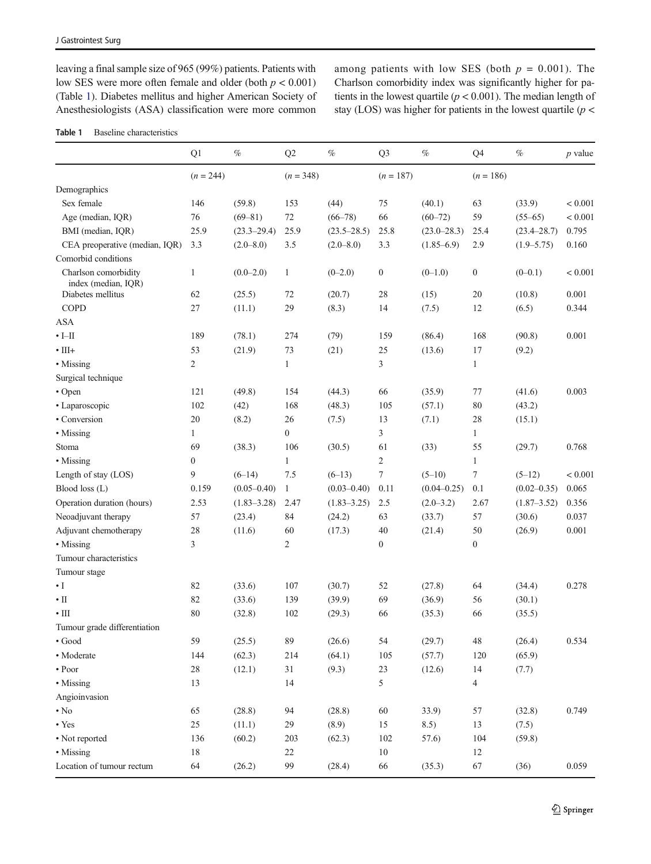leaving a final sample size of 965 (99%) patients. Patients with low SES were more often female and older (both  $p < 0.001$ ) (Table 1). Diabetes mellitus and higher American Society of Anesthesiologists (ASA) classification were more common

among patients with low SES (both  $p = 0.001$ ). The Charlson comorbidity index was significantly higher for patients in the lowest quartile ( $p < 0.001$ ). The median length of stay (LOS) was higher for patients in the lowest quartile  $(p <$ 

## Table 1 Baseline characteristics

|                                             | Q1               | $\%$            | Q2               | $\%$            | Q <sub>3</sub>   | $\%$            | Q4               | $\%$            | $p$ value |
|---------------------------------------------|------------------|-----------------|------------------|-----------------|------------------|-----------------|------------------|-----------------|-----------|
|                                             | $(n = 244)$      |                 | $(n = 348)$      |                 | $(n = 187)$      |                 | $(n = 186)$      |                 |           |
| Demographics                                |                  |                 |                  |                 |                  |                 |                  |                 |           |
| Sex female                                  | 146              | (59.8)          | 153              | (44)            | 75               | (40.1)          | 63               | (33.9)          | < 0.001   |
| Age (median, IQR)                           | 76               | $(69 - 81)$     | 72               | $(66 - 78)$     | 66               | $(60 - 72)$     | 59               | $(55 - 65)$     | < 0.001   |
| BMI (median, IQR)                           | 25.9             | $(23.3 - 29.4)$ | 25.9             | $(23.5 - 28.5)$ | 25.8             | $(23.0 - 28.3)$ | 25.4             | $(23.4 - 28.7)$ | 0.795     |
| CEA preoperative (median, IQR)              | 3.3              | $(2.0 - 8.0)$   | 3.5              | $(2.0 - 8.0)$   | 3.3              | $(1.85 - 6.9)$  | 2.9              | $(1.9 - 5.75)$  | 0.160     |
| Comorbid conditions                         |                  |                 |                  |                 |                  |                 |                  |                 |           |
| Charlson comorbidity<br>index (median, IOR) | $\mathbf{1}$     | $(0.0 - 2.0)$   | $\mathbf{1}$     | $(0-2.0)$       | $\boldsymbol{0}$ | $(0-1.0)$       | $\boldsymbol{0}$ | $(0-0.1)$       | < 0.001   |
| Diabetes mellitus                           | 62               | (25.5)          | 72               | (20.7)          | 28               | (15)            | 20               | (10.8)          | 0.001     |
| COPD                                        | 27               | (11.1)          | 29               | (8.3)           | 14               | (7.5)           | 12               | (6.5)           | 0.344     |
| <b>ASA</b>                                  |                  |                 |                  |                 |                  |                 |                  |                 |           |
| $\cdot$ I-II                                | 189              | (78.1)          | 274              | (79)            | 159              | (86.4)          | 168              | (90.8)          | 0.001     |
| $\cdot$ III+                                | 53               | (21.9)          | 73               | (21)            | 25               | (13.6)          | 17               | (9.2)           |           |
| • Missing                                   | $\overline{2}$   |                 | $\mathbf{1}$     |                 | 3                |                 | $\mathbf{1}$     |                 |           |
| Surgical technique                          |                  |                 |                  |                 |                  |                 |                  |                 |           |
| • Open                                      | 121              | (49.8)          | 154              | (44.3)          | 66               | (35.9)          | 77               | (41.6)          | 0.003     |
| • Laparoscopic                              | 102              | (42)            | 168              | (48.3)          | 105              | (57.1)          | 80               | (43.2)          |           |
| • Conversion                                | 20               | (8.2)           | 26               | (7.5)           | 13               | (7.1)           | 28               | (15.1)          |           |
| • Missing                                   | $\mathbf{1}$     |                 | $\boldsymbol{0}$ |                 | 3                |                 | $\mathbf{1}$     |                 |           |
| Stoma                                       | 69               | (38.3)          | 106              | (30.5)          | 61               | (33)            | 55               | (29.7)          | 0.768     |
| • Missing                                   | $\boldsymbol{0}$ |                 | $\mathbf{1}$     |                 | $\overline{c}$   |                 | $\mathbf{1}$     |                 |           |
| Length of stay (LOS)                        | 9                | $(6-14)$        | 7.5              | $(6-13)$        | 7                | $(5-10)$        | 7                | $(5-12)$        | < 0.001   |
| Blood loss (L)                              | 0.159            | $(0.05 - 0.40)$ | $\mathbf{1}$     | $(0.03 - 0.40)$ | 0.11             | $(0.04 - 0.25)$ | 0.1              | $(0.02 - 0.35)$ | 0.065     |
| Operation duration (hours)                  | 2.53             | $(1.83 - 3.28)$ | 2.47             | $(1.83 - 3.25)$ | 2.5              | $(2.0 - 3.2)$   | 2.67             | $(1.87 - 3.52)$ | 0.356     |
| Neoadjuvant therapy                         | 57               | (23.4)          | 84               | (24.2)          | 63               | (33.7)          | 57               | (30.6)          | 0.037     |
| Adjuvant chemotherapy                       | 28               | (11.6)          | 60               | (17.3)          | 40               | (21.4)          | 50               | (26.9)          | 0.001     |
| • Missing                                   | 3                |                 | 2                |                 | $\boldsymbol{0}$ |                 | $\boldsymbol{0}$ |                 |           |
| Tumour characteristics                      |                  |                 |                  |                 |                  |                 |                  |                 |           |
| Tumour stage                                |                  |                 |                  |                 |                  |                 |                  |                 |           |
| $\cdot$ I                                   | 82               | (33.6)          | 107              | (30.7)          | 52               | (27.8)          | 64               | (34.4)          | 0.278     |
| $\cdot$ II                                  | 82               | (33.6)          | 139              | (39.9)          | 69               | (36.9)          | 56               | (30.1)          |           |
| $\cdot \mathbb{H}$                          | 80               | (32.8)          | 102              | (29.3)          | 66               | (35.3)          | 66               | (35.5)          |           |
| Tumour grade differentiation                |                  |                 |                  |                 |                  |                 |                  |                 |           |
| $\bullet$ Good                              | 59               | (25.5)          | 89               | (26.6)          | 54               | (29.7)          | 48               | (26.4)          | 0.534     |
| · Moderate                                  | 144              | (62.3)          | 214              | (64.1)          | $105\,$          | (57.7)          | 120              | (65.9)          |           |
| $\bullet$ Poor                              | $28\,$           | (12.1)          | $31\,$           | (9.3)           | 23               | (12.6)          | 14               | (7.7)           |           |
| • Missing                                   | 13               |                 | 14               |                 | 5                |                 | 4                |                 |           |
| Angioinvasion                               |                  |                 |                  |                 |                  |                 |                  |                 |           |
| $\bullet$ No                                | 65               | (28.8)          | 94               | (28.8)          | $60\,$           | 33.9)           | 57               | (32.8)          | 0.749     |
| $\bullet$ Yes                               | 25               | (11.1)          | 29               | (8.9)           | 15               | 8.5)            | 13               | (7.5)           |           |
| • Not reported                              | 136              | (60.2)          | 203              | (62.3)          | $102\,$          | 57.6)           | 104              | (59.8)          |           |
| • Missing                                   | 18               |                 | 22               |                 | 10               |                 | 12               |                 |           |
| Location of tumour rectum                   | 64               | (26.2)          | 99               | (28.4)          | 66               | (35.3)          | 67               | (36)            | 0.059     |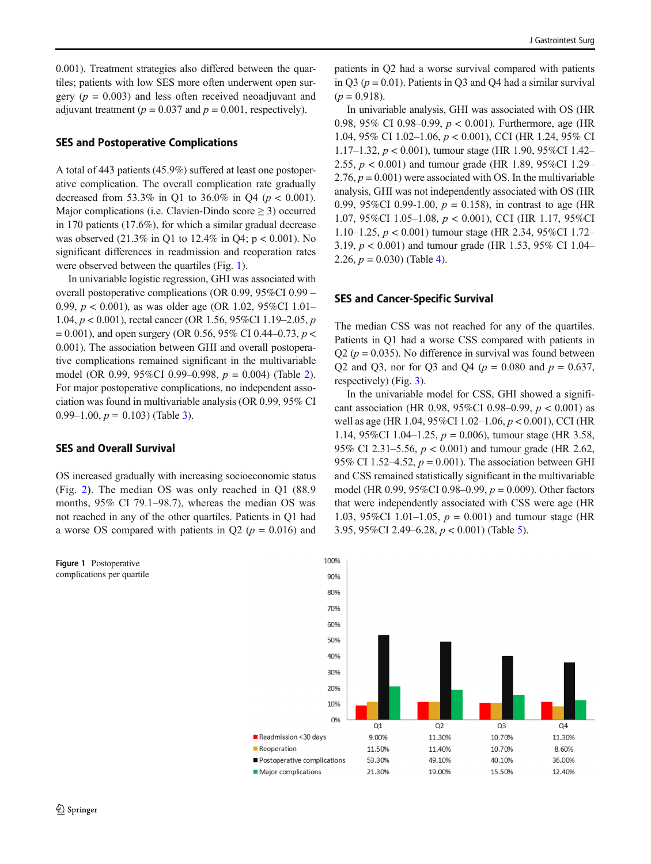0.001). Treatment strategies also differed between the quartiles; patients with low SES more often underwent open surgery ( $p = 0.003$ ) and less often received neoadjuvant and adjuvant treatment ( $p = 0.037$  and  $p = 0.001$ , respectively).

## SES and Postoperative Complications

A total of 443 patients (45.9%) suffered at least one postoperative complication. The overall complication rate gradually decreased from 53.3% in Q1 to 36.0% in Q4 ( $p < 0.001$ ). Major complications (i.e. Clavien-Dindo score  $\geq$  3) occurred in 170 patients (17.6%), for which a similar gradual decrease was observed (21.3% in Q1 to 12.4% in Q4; p < 0.001). No significant differences in readmission and reoperation rates were observed between the quartiles (Fig. 1).

In univariable logistic regression, GHI was associated with overall postoperative complications (OR 0.99, 95%CI 0.99 – 0.99,  $p < 0.001$ ), as was older age (OR 1.02, 95%CI 1.01– 1.04, p < 0.001), rectal cancer (OR 1.56, 95%CI 1.19–2.05, p  $= 0.001$ ), and open surgery (OR 0.56, 95% CI 0.44–0.73, *p* < 0.001). The association between GHI and overall postoperative complications remained significant in the multivariable model (OR 0.99, 95%CI 0.99–0.998, p = 0.004) (Table [2\)](#page-4-0). For major postoperative complications, no independent association was found in multivariable analysis (OR 0.99, 95% CI 0.99–1.00,  $p = 0.103$ ) (Table [3\)](#page-4-0).

## SES and Overall Survival

OS increased gradually with increasing socioeconomic status (Fig. [2](#page-5-0)). The median OS was only reached in Q1 (88.9 months, 95% CI 79.1–98.7), whereas the median OS was not reached in any of the other quartiles. Patients in Q1 had a worse OS compared with patients in  $Q2$  ( $p = 0.016$ ) and

Figure 1 Postoperative complications per quartile

patients in Q2 had a worse survival compared with patients in Q3 ( $p = 0.01$ ). Patients in Q3 and Q4 had a similar survival  $(p = 0.918)$ .

In univariable analysis, GHI was associated with OS (HR 0.98, 95% CI 0.98–0.99,  $p < 0.001$ ). Furthermore, age (HR 1.04, 95% CI 1.02–1.06, p < 0.001), CCI (HR 1.24, 95% CI 1.17–1.32,  $p < 0.001$ ), tumour stage (HR 1.90, 95%CI 1.42– 2.55, p < 0.001) and tumour grade (HR 1.89, 95%CI 1.29– 2.76,  $p = 0.001$ ) were associated with OS. In the multivariable analysis, GHI was not independently associated with OS (HR 0.99, 95%CI 0.99-1.00,  $p = 0.158$ ), in contrast to age (HR 1.07, 95%CI 1.05–1.08, p < 0.001), CCI (HR 1.17, 95%CI 1.10–1.25,  $p < 0.001$ ) tumour stage (HR 2.34, 95%CI 1.72– 3.19,  $p < 0.001$ ) and tumour grade (HR 1.53, 95% CI 1.04– 2.26,  $p = 0.030$ ) (Table [4\)](#page-5-0).

## SES and Cancer-Specific Survival

The median CSS was not reached for any of the quartiles. Patients in Q1 had a worse CSS compared with patients in  $Q2$  ( $p = 0.035$ ). No difference in survival was found between Q2 and Q3, nor for Q3 and Q4 ( $p = 0.080$  and  $p = 0.637$ , respectively) (Fig. [3](#page-6-0)).

In the univariable model for CSS, GHI showed a significant association (HR 0.98, 95%CI 0.98–0.99,  $p < 0.001$ ) as well as age (HR 1.04, 95%CI 1.02–1.06, p < 0.001), CCI (HR 1.14, 95%CI 1.04–1.25,  $p = 0.006$ ), tumour stage (HR 3.58, 95% CI 2.31–5.56,  $p < 0.001$ ) and tumour grade (HR 2.62, 95% CI 1.52–4.52,  $p = 0.001$ ). The association between GHI and CSS remained statistically significant in the multivariable model (HR 0.99, 95%CI 0.98–0.99,  $p = 0.009$ ). Other factors that were independently associated with CSS were age (HR 1.03, 95%CI 1.01–1.05,  $p = 0.001$ ) and tumour stage (HR 3.95, 95%CI 2.49–6.28, p < 0.001) (Table [5](#page-6-0)).

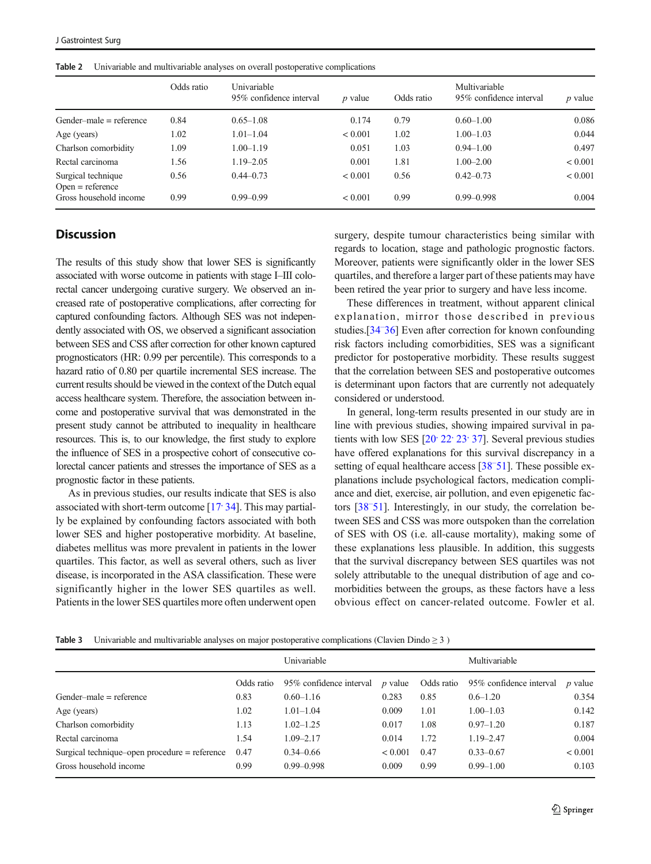|                                          | Odds ratio | Univariable<br>95% confidence interval | $p$ value | Odds ratio | Multivariable<br>95% confidence interval | $p$ value |
|------------------------------------------|------------|----------------------------------------|-----------|------------|------------------------------------------|-----------|
| Gender-male $=$ reference                | 0.84       | $0.65 - 1.08$                          | 0.174     | 0.79       | $0.60 - 1.00$                            | 0.086     |
| Age (years)                              | 1.02       | $1.01 - 1.04$                          | < 0.001   | 1.02       | $1.00 - 1.03$                            | 0.044     |
| Charlson comorbidity                     | 1.09       | $1.00 - 1.19$                          | 0.051     | 1.03       | $0.94 - 1.00$                            | 0.497     |
| Rectal carcinoma                         | 1.56       | $1.19 - 2.05$                          | 0.001     | 1.81       | $1.00 - 2.00$                            | < 0.001   |
| Surgical technique<br>$Open = reference$ | 0.56       | $0.44 - 0.73$                          | < 0.001   | 0.56       | $0.42 - 0.73$                            | < 0.001   |
| Gross household income                   | 0.99       | $0.99 - 0.99$                          | < 0.001   | 0.99       | $0.99 - 0.998$                           | 0.004     |

<span id="page-4-0"></span>Table 2 Univariable and multivariable analyses on overall postoperative complications

# **Discussion**

The results of this study show that lower SES is significantly associated with worse outcome in patients with stage I–III colorectal cancer undergoing curative surgery. We observed an increased rate of postoperative complications, after correcting for captured confounding factors. Although SES was not independently associated with OS, we observed a significant association between SES and CSS after correction for other known captured prognosticators (HR: 0.99 per percentile). This corresponds to a hazard ratio of 0.80 per quartile incremental SES increase. The current results should be viewed in the context of the Dutch equal access healthcare system. Therefore, the association between income and postoperative survival that was demonstrated in the present study cannot be attributed to inequality in healthcare resources. This is, to our knowledge, the first study to explore the influence of SES in a prospective cohort of consecutive colorectal cancer patients and stresses the importance of SES as a prognostic factor in these patients.

As in previous studies, our results indicate that SES is also associated with short-term outcome [[17,](#page-7-0) [34\]](#page-8-0). This may partially be explained by confounding factors associated with both lower SES and higher postoperative morbidity. At baseline, diabetes mellitus was more prevalent in patients in the lower quartiles. This factor, as well as several others, such as liver disease, is incorporated in the ASA classification. These were significantly higher in the lower SES quartiles as well. Patients in the lower SES quartiles more often underwent open surgery, despite tumour characteristics being similar with regards to location, stage and pathologic prognostic factors. Moreover, patients were significantly older in the lower SES quartiles, and therefore a larger part of these patients may have been retired the year prior to surgery and have less income.

These differences in treatment, without apparent clinical explanation, mirror those described in previous studies.[\[34](#page-8-0)[–](#page-8-0) [36\]](#page-8-0) Even after correction for known confounding risk factors including comorbidities, SES was a significant predictor for postoperative morbidity. These results suggest that the correlation between SES and postoperative outcomes is determinant upon factors that are currently not adequately considered or understood.

In general, long-term results presented in our study are in line with previous studies, showing impaired survival in patients with low SES  $[20, 22, 23, 37]$  $[20, 22, 23, 37]$  $[20, 22, 23, 37]$  $[20, 22, 23, 37]$  $[20, 22, 23, 37]$  $[20, 22, 23, 37]$  $[20, 22, 23, 37]$ . Several previous studies have offered explanations for this survival discrepancy in a setting of equal healthcare access [[38](#page-8-0)<sup>-[51\]](#page-8-0)</sup>. These possible explanations include psychological factors, medication compliance and diet, exercise, air pollution, and even epigenetic factors [[38](#page-8-0)[–](#page-8-0) [51](#page-8-0)]. Interestingly, in our study, the correlation between SES and CSS was more outspoken than the correlation of SES with OS (i.e. all-cause mortality), making some of these explanations less plausible. In addition, this suggests that the survival discrepancy between SES quartiles was not solely attributable to the unequal distribution of age and comorbidities between the groups, as these factors have a less obvious effect on cancer-related outcome. Fowler et al.

**Table 3** Univariable and multivariable analyses on major postoperative complications (Clavien Dindo  $\geq$  3)

|                                                 |            | Univariable             |           |            | Multivariable           |           |
|-------------------------------------------------|------------|-------------------------|-----------|------------|-------------------------|-----------|
|                                                 | Odds ratio | 95% confidence interval | $p$ value | Odds ratio | 95% confidence interval | $p$ value |
| Gender-male $=$ reference                       | 0.83       | $0.60 - 1.16$           | 0.283     | 0.85       | $0.6 - 1.20$            | 0.354     |
| Age (years)                                     | 1.02       | $1.01 - 1.04$           | 0.009     | 1.01       | $1.00 - 1.03$           | 0.142     |
| Charlson comorbidity                            | 1.13       | $1.02 - 1.25$           | 0.017     | 1.08       | $0.97 - 1.20$           | 0.187     |
| Rectal carcinoma                                | 1.54       | $1.09 - 2.17$           | 0.014     | 1.72       | $1.19 - 2.47$           | 0.004     |
| Surgical technique-open procedure $=$ reference | 0.47       | $0.34 - 0.66$           | < 0.001   | 0.47       | $0.33 - 0.67$           | < 0.001   |
| Gross household income                          | 0.99       | $0.99 - 0.998$          | 0.009     | 0.99       | $0.99 - 1.00$           | 0.103     |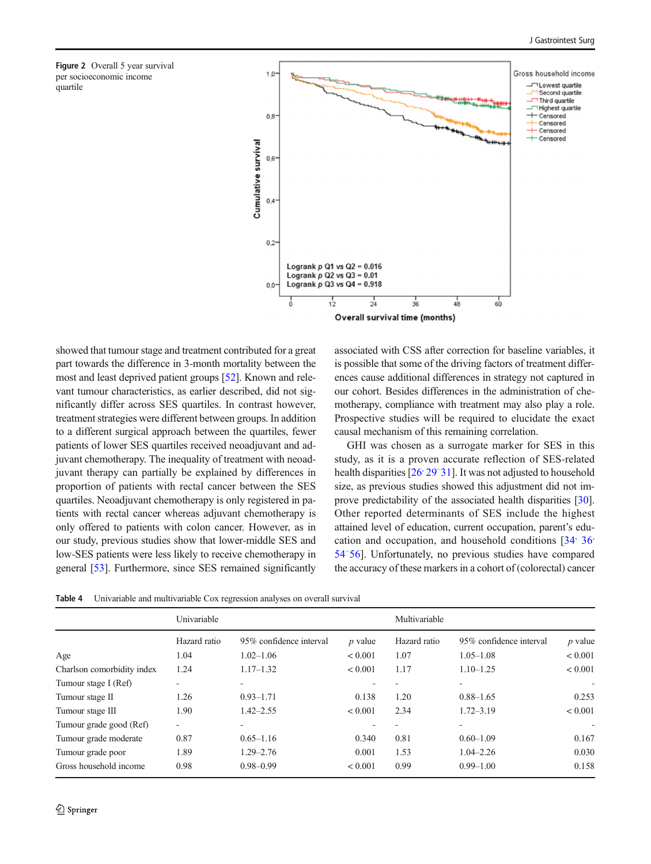<span id="page-5-0"></span>



showed that tumour stage and treatment contributed for a great part towards the difference in 3-month mortality between the most and least deprived patient groups [\[52\]](#page-8-0). Known and relevant tumour characteristics, as earlier described, did not significantly differ across SES quartiles. In contrast however, treatment strategies were different between groups. In addition to a different surgical approach between the quartiles, fewer patients of lower SES quartiles received neoadjuvant and adjuvant chemotherapy. The inequality of treatment with neoadjuvant therapy can partially be explained by differences in proportion of patients with rectal cancer between the SES quartiles. Neoadjuvant chemotherapy is only registered in patients with rectal cancer whereas adjuvant chemotherapy is only offered to patients with colon cancer. However, as in our study, previous studies show that lower-middle SES and low-SES patients were less likely to receive chemotherapy in general [[53\]](#page-8-0). Furthermore, since SES remained significantly associated with CSS after correction for baseline variables, it is possible that some of the driving factors of treatment differences cause additional differences in strategy not captured in our cohort. Besides differences in the administration of chemotherapy, compliance with treatment may also play a role. Prospective studies will be required to elucidate the exact causal mechanism of this remaining correlation.

GHI was chosen as a surrogate marker for SES in this study, as it is a proven accurate reflection of SES-related health disparities [26<sup>,</sup> [29](#page-7-0)<sup>-</sup>[31](#page-7-0)]. It was not adjusted to household size, as previous studies showed this adjustment did not improve predictability of the associated health disparities [[30\]](#page-7-0). Other reported determinants of SES include the highest attained level of education, current occupation, parent's edu-cation and occupation, and household conditions [\[34](#page-8-0)[,](#page-8-0) [36](#page-8-0)] [54](#page-8-0)[–](#page-8-0) [56\]](#page-8-0). Unfortunately, no previous studies have compared the accuracy of these markers in a cohort of (colorectal) cancer

Table 4 Univariable and multivariable Cox regression analyses on overall survival

|                            | Univariable  |                         |                | Multivariable |                         |                          |  |
|----------------------------|--------------|-------------------------|----------------|---------------|-------------------------|--------------------------|--|
|                            | Hazard ratio | 95% confidence interval | <i>p</i> value | Hazard ratio  | 95% confidence interval | $p$ value                |  |
| Age                        | 1.04         | $1.02 - 1.06$           | ${}< 0.001$    | 1.07          | $1.05 - 1.08$           | < 0.001                  |  |
| Charlson comorbidity index | 1.24         | $1.17 - 1.32$           | ${}< 0.001$    | 1.17          | $1.10 - 1.25$           | < 0.001                  |  |
| Tumour stage I (Ref)       |              |                         |                |               |                         | ٠                        |  |
| Tumour stage II            | 1.26         | $0.93 - 1.71$           | 0.138          | 1.20          | $0.88 - 1.65$           | 0.253                    |  |
| Tumour stage III           | 1.90         | $1.42 - 2.55$           | ${}< 0.001$    | 2.34          | $1.72 - 3.19$           | < 0.001                  |  |
| Tumour grade good (Ref)    | $\sim$       |                         |                |               |                         | $\overline{\phantom{a}}$ |  |
| Tumour grade moderate      | 0.87         | $0.65 - 1.16$           | 0.340          | 0.81          | $0.60 - 1.09$           | 0.167                    |  |
| Tumour grade poor          | 1.89         | $1.29 - 2.76$           | 0.001          | 1.53          | $1.04 - 2.26$           | 0.030                    |  |
| Gross household income     | 0.98         | $0.98 - 0.99$           | < 0.001        | 0.99          | $0.99 - 1.00$           | 0.158                    |  |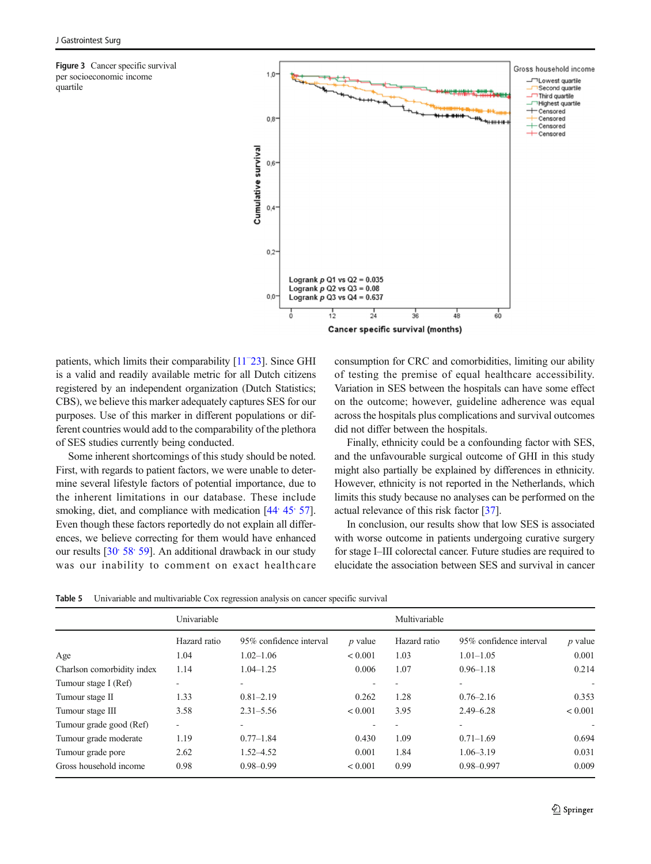<span id="page-6-0"></span>Figure 3 Cancer specific survival per socioeconomic income quartile



patients, which limits their comparability [\[11](#page-7-0)<sup>-[23](#page-7-0)]</sup>. Since GHI is a valid and readily available metric for all Dutch citizens registered by an independent organization (Dutch Statistics; CBS), we believe this marker adequately captures SES for our purposes. Use of this marker in different populations or different countries would add to the comparability of the plethora of SES studies currently being conducted.

Some inherent shortcomings of this study should be noted. First, with regards to patient factors, we were unable to determine several lifestyle factors of potential importance, due to the inherent limitations in our database. These include smoking, diet, and compliance with medication  $[44, 45, 57]$  $[44, 45, 57]$  $[44, 45, 57]$  $[44, 45, 57]$  $[44, 45, 57]$ . Even though these factors reportedly do not explain all differences, we believe correcting for them would have enhanced our results [30' 58' [59\]](#page-8-0). An additional drawback in our study was our inability to comment on exact healthcare consumption for CRC and comorbidities, limiting our ability of testing the premise of equal healthcare accessibility. Variation in SES between the hospitals can have some effect on the outcome; however, guideline adherence was equal across the hospitals plus complications and survival outcomes did not differ between the hospitals.

Finally, ethnicity could be a confounding factor with SES, and the unfavourable surgical outcome of GHI in this study might also partially be explained by differences in ethnicity. However, ethnicity is not reported in the Netherlands, which limits this study because no analyses can be performed on the actual relevance of this risk factor [[37](#page-8-0)].

In conclusion, our results show that low SES is associated with worse outcome in patients undergoing curative surgery for stage I–III colorectal cancer. Future studies are required to elucidate the association between SES and survival in cancer

Table 5 Univariable and multivariable Cox regression analysis on cancer specific survival

|                            | Univariable    |                          |              | Multivariable |                          |           |  |
|----------------------------|----------------|--------------------------|--------------|---------------|--------------------------|-----------|--|
|                            | Hazard ratio   | 95% confidence interval  | $p$ value    | Hazard ratio  | 95% confidence interval  | $p$ value |  |
| Age                        | 1.04           | $1.02 - 1.06$            | ${}< 0.001$  | 1.03          | $1.01 - 1.05$            | 0.001     |  |
| Charlson comorbidity index | 1.14           | $1.04 - 1.25$            | 0.006        | 1.07          | $0.96 - 1.18$            | 0.214     |  |
| Tumour stage I (Ref)       |                | $\overline{\phantom{a}}$ |              |               |                          | ٠         |  |
| Tumour stage II            | 1.33           | $0.81 - 2.19$            | 0.262        | 1.28          | $0.76 - 2.16$            | 0.353     |  |
| Tumour stage III           | 3.58           | $2.31 - 5.56$            | ${}< 0.001$  | 3.95          | $2.49 - 6.28$            | < 0.001   |  |
| Tumour grade good (Ref)    | $\overline{a}$ |                          |              |               | $\overline{\phantom{a}}$ |           |  |
| Tumour grade moderate      | 1.19           | $0.77 - 1.84$            | 0.430        | 1.09          | $0.71 - 1.69$            | 0.694     |  |
| Tumour grade pore          | 2.62           | $1.52 - 4.52$            | 0.001        | 1.84          | $1.06 - 3.19$            | 0.031     |  |
| Gross household income     | 0.98           | $0.98 - 0.99$            | ${}_{0.001}$ | 0.99          | $0.98 - 0.997$           | 0.009     |  |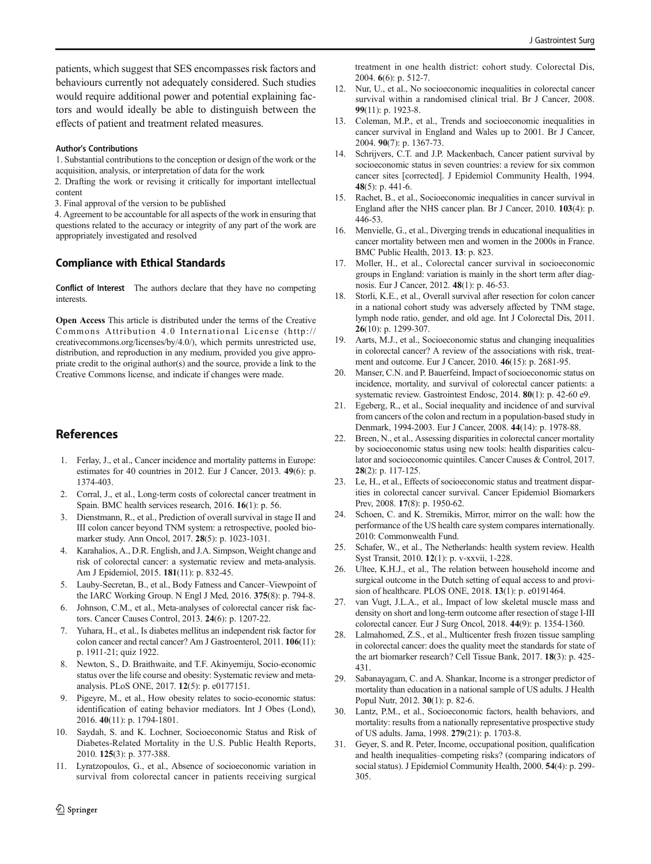<span id="page-7-0"></span>patients, which suggest that SES encompasses risk factors and behaviours currently not adequately considered. Such studies would require additional power and potential explaining factors and would ideally be able to distinguish between the effects of patient and treatment related measures.

#### Author's Contributions

1. Substantial contributions to the conception or design of the work or the acquisition, analysis, or interpretation of data for the work

2. Drafting the work or revising it critically for important intellectual content

3. Final approval of the version to be published

4. Agreement to be accountable for all aspects of the work in ensuring that questions related to the accuracy or integrity of any part of the work are appropriately investigated and resolved

# Compliance with Ethical Standards

Conflict of Interest The authors declare that they have no competing **interests** 

Open Access This article is distributed under the terms of the Creative Commons Attribution 4.0 International License (http:// creativecommons.org/licenses/by/4.0/), which permits unrestricted use, distribution, and reproduction in any medium, provided you give appropriate credit to the original author(s) and the source, provide a link to the Creative Commons license, and indicate if changes were made.

# References

- 1. Ferlay, J., et al., Cancer incidence and mortality patterns in Europe: estimates for 40 countries in 2012. Eur J Cancer, 2013. 49(6): p. 1374-403.
- 2. Corral, J., et al., Long-term costs of colorectal cancer treatment in Spain. BMC health services research, 2016. 16(1): p. 56.
- 3. Dienstmann, R., et al., Prediction of overall survival in stage II and III colon cancer beyond TNM system: a retrospective, pooled biomarker study. Ann Oncol, 2017. 28(5): p. 1023-1031.
- 4. Karahalios, A., D.R. English, and J.A. Simpson, Weight change and risk of colorectal cancer: a systematic review and meta-analysis. Am J Epidemiol, 2015. 181(11): p. 832-45.
- 5. Lauby-Secretan, B., et al., Body Fatness and Cancer–Viewpoint of the IARC Working Group. N Engl J Med, 2016. 375(8): p. 794-8.
- 6. Johnson, C.M., et al., Meta-analyses of colorectal cancer risk factors. Cancer Causes Control, 2013. 24(6): p. 1207-22.
- 7. Yuhara, H., et al., Is diabetes mellitus an independent risk factor for colon cancer and rectal cancer? Am J Gastroenterol, 2011. 106(11): p. 1911-21; quiz 1922.
- 8. Newton, S., D. Braithwaite, and T.F. Akinyemiju, Socio-economic status over the life course and obesity: Systematic review and metaanalysis. PLoS ONE, 2017. 12(5): p. e0177151.
- Pigeyre, M., et al., How obesity relates to socio-economic status: identification of eating behavior mediators. Int J Obes (Lond), 2016. 40(11): p. 1794-1801.
- 10. Saydah, S. and K. Lochner, Socioeconomic Status and Risk of Diabetes-Related Mortality in the U.S. Public Health Reports, 2010. 125(3): p. 377-388.
- 11. Lyratzopoulos, G., et al., Absence of socioeconomic variation in survival from colorectal cancer in patients receiving surgical
- 12. Nur, U., et al., No socioeconomic inequalities in colorectal cancer survival within a randomised clinical trial. Br J Cancer, 2008. 99(11): p. 1923-8.
- 13. Coleman, M.P., et al., Trends and socioeconomic inequalities in cancer survival in England and Wales up to 2001. Br J Cancer, 2004. 90(7): p. 1367-73.
- 14. Schrijvers, C.T. and J.P. Mackenbach, Cancer patient survival by socioeconomic status in seven countries: a review for six common cancer sites [corrected]. J Epidemiol Community Health, 1994. 48(5): p. 441-6.
- 15. Rachet, B., et al., Socioeconomic inequalities in cancer survival in England after the NHS cancer plan. Br J Cancer, 2010. 103(4): p. 446-53.
- 16. Menvielle, G., et al., Diverging trends in educational inequalities in cancer mortality between men and women in the 2000s in France. BMC Public Health, 2013. 13: p. 823.
- 17. Moller, H., et al., Colorectal cancer survival in socioeconomic groups in England: variation is mainly in the short term after diagnosis. Eur J Cancer, 2012. 48(1): p. 46-53.
- 18. Storli, K.E., et al., Overall survival after resection for colon cancer in a national cohort study was adversely affected by TNM stage, lymph node ratio, gender, and old age. Int J Colorectal Dis, 2011. 26(10): p. 1299-307.
- 19. Aarts, M.J., et al., Socioeconomic status and changing inequalities in colorectal cancer? A review of the associations with risk, treatment and outcome. Eur J Cancer, 2010. 46(15): p. 2681-95.
- 20. Manser, C.N. and P. Bauerfeind, Impact of socioeconomic status on incidence, mortality, and survival of colorectal cancer patients: a systematic review. Gastrointest Endosc, 2014. 80(1): p. 42-60 e9.
- 21. Egeberg, R., et al., Social inequality and incidence of and survival from cancers of the colon and rectum in a population-based study in Denmark, 1994-2003. Eur J Cancer, 2008. 44(14): p. 1978-88.
- 22. Breen, N., et al., Assessing disparities in colorectal cancer mortality by socioeconomic status using new tools: health disparities calculator and socioeconomic quintiles. Cancer Causes & Control, 2017. 28(2): p. 117-125.
- 23. Le, H., et al., Effects of socioeconomic status and treatment disparities in colorectal cancer survival. Cancer Epidemiol Biomarkers Prev, 2008. 17(8): p. 1950-62.
- 24. Schoen, C. and K. Stremikis, Mirror, mirror on the wall: how the performance of the US health care system compares internationally. 2010: Commonwealth Fund.
- 25. Schafer, W., et al., The Netherlands: health system review. Health Syst Transit, 2010. 12(1): p. v-xxvii, 1-228.
- 26. Ultee, K.H.J., et al., The relation between household income and surgical outcome in the Dutch setting of equal access to and provision of healthcare. PLOS ONE, 2018. 13(1): p. e0191464.
- 27. van Vugt, J.L.A., et al., Impact of low skeletal muscle mass and density on short and long-term outcome after resection of stage I-III colorectal cancer. Eur J Surg Oncol, 2018. 44(9): p. 1354-1360.
- 28. Lalmahomed, Z.S., et al., Multicenter fresh frozen tissue sampling in colorectal cancer: does the quality meet the standards for state of the art biomarker research? Cell Tissue Bank, 2017. 18(3): p. 425- 431.
- 29. Sabanayagam, C. and A. Shankar, Income is a stronger predictor of mortality than education in a national sample of US adults. J Health Popul Nutr, 2012. 30(1): p. 82-6.
- 30. Lantz, P.M., et al., Socioeconomic factors, health behaviors, and mortality: results from a nationally representative prospective study of US adults. Jama, 1998. 279(21): p. 1703-8.
- 31. Geyer, S. and R. Peter, Income, occupational position, qualification and health inequalities–competing risks? (comparing indicators of social status). J Epidemiol Community Health, 2000. 54(4): p. 299- 305.